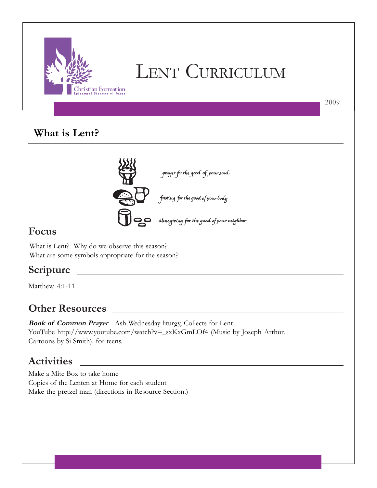

2009

#### **What is Lent?**



**Focus**

What is Lent? Why do we observe this season? What are some symbols appropriate for the season?

#### Scripture <u>example and the set of the set of the set of the set of the set of the set of the set of the set of the set of the set of the set of the set of the set of the set of the set of the set of the set of the set of t</u>

Matthew 4:1-11

#### **Other Resources**

**Book of Common Prayer** - Ash Wednesday liturgy, Collects for Lent YouTube http://www.youtube.com/watch?v=\_sxKxGmLOf4 (Music by Joseph Arthur. Cartoons by Si Smith). for teens.

#### **Activities**

Make a Mite Box to take home Copies of the Lenten at Home for each student Make the pretzel man (directions in Resource Section.)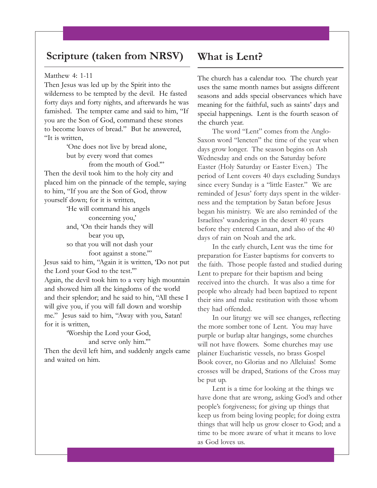#### Matthew 4: 1-11

Then Jesus was led up by the Spirit into the wilderness to be tempted by the devil. He fasted forty days and forty nights, and afterwards he was famished. The tempter came and said to him, "If you are the Son of God, command these stones to become loaves of bread." But he answered, "It is written,

'One does not live by bread alone, but by every word that comes from the mouth of God.'" Then the devil took him to the holy city and placed him on the pinnacle of the temple, saying to him, "If you are the Son of God, throw yourself down; for it is written,

> 'He will command his angels concerning you,' and, 'On their hands they will bear you up, so that you will not dash your foot against a stone.'"

Jesus said to him, "Again it is written, 'Do not put the Lord your God to the test.'"

Again, the devil took him to a very high mountain and showed him all the kingdoms of the world and their splendor; and he said to hin, "All these I will give you, if you will fall down and worship me." Jesus said to him, "Away with you, Satan! for it is written,

> 'Worship the Lord your God, and serve only him.'"

Then the devil left him, and suddenly angels came and waited on him.

#### **What is Lent?**

The church has a calendar too. The church year uses the same month names but assigns different seasons and adds special observances which have meaning for the faithful, such as saints' days and special happenings. Lent is the fourth season of the church year.

The word "Lent" comes from the Anglo-Saxon word "lencten" the time of the year when days grow longer. The season begins on Ash Wednesday and ends on the Saturday before Easter (Holy Saturday or Easter Even.) The period of Lent covers 40 days excluding Sundays since every Sunday is a "little Easter." We are reminded of Jesus' forty days spent in the wilderness and the temptation by Satan before Jesus began his ministry. We are also reminded of the Israelites' wanderings in the desert 40 years before they entered Canaan, and also of the 40 days of rain on Noah and the ark.

In the early church, Lent was the time for preparation for Easter baptisms for converts to the faith. Those people fasted and studied during Lent to prepare for their baptism and being received into the church. It was also a time for people who already had been baptized to repent their sins and make restitution with those whom they had offended.

In our liturgy we will see changes, reflecting the more somber tone of Lent. You may have purple or burlap altar hangings, some churches will not have flowers. Some churches may use plainer Eucharistic vessels, no brass Gospel Book cover, no Glorias and no Alleluias! Some crosses will be draped, Stations of the Cross may be put up.

Lent is a time for looking at the things we have done that are wrong, asking God's and other people's forgiveness; for giving up things that keep us from being loving people; for doing extra things that will help us grow closer to God; and a time to be more aware of what it means to love as God loves us.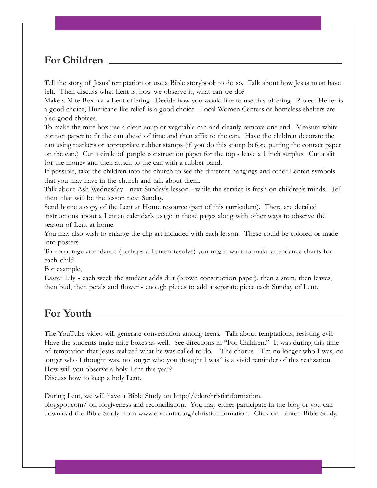Tell the story of Jesus' temptation or use a Bible storybook to do so. Talk about how Jesus must have felt. Then discuss what Lent is, how we observe it, what can we do?

Make a Mite Box for a Lent offering. Decide how you would like to use this offering. Project Heifer is a good choice, Hurricane Ike relief is a good choice. Local Women Centers or homeless shelters are also good choices.

To make the mite box use a clean soup or vegetable can and cleanly remove one end. Measure white contact paper to fit the can ahead of time and then affix to the can. Have the children decorate the can using markers or appropriate rubber stamps (if you do this stamp before putting the contact paper on the can.) Cut a circle of purple construction paper for the top - leave a 1 inch surplus. Cut a slit for the money and then attach to the can with a rubber band.

If possible, take the children into the church to see the different hangings and other Lenten symbols that you may have in the church and talk about them.

Talk about Ash Wednesday - next Sunday's lesson - while the service is fresh on children's minds. Tell them that will be the lesson next Sunday.

Send home a copy of the Lent at Home resource (part of this curriculum). There are detailed instructions about a Lenten calendar's usage in those pages along with other ways to observe the season of Lent at home.

You may also wish to enlarge the clip art included with each lesson. These could be colored or made into posters.

To encourage attendance (perhaps a Lenten resolve) you might want to make attendance charts for each child.

For example,

Easter Lily - each week the student adds dirt (brown construction paper), then a stem, then leaves, then bud, then petals and flower - enough pieces to add a separate piece each Sunday of Lent.

#### **For Youth**

The YouTube video will generate conversation among teens. Talk about temptations, resisting evil. Have the students make mite boxes as well. See directions in "For Children." It was during this time of temptation that Jesus realized what he was called to do. The chorus "I'm no longer who I was, no longer who I thought was, no longer who you thought I was" is a vivid reminder of this realization. How will you observe a holy Lent this year?

Discuss how to keep a holy Lent.

During Lent, we will have a Bible Study on http://edotchristianformation. blogspot.com/ on forgiveness and reconciliation. You may either participate in the blog or you can download the Bible Study from www.epicenter.org/christianformation. Click on Lenten Bible Study.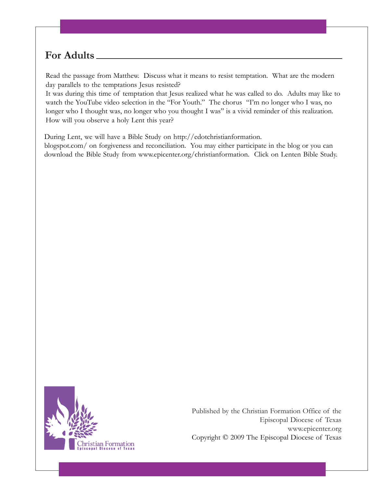Read the passage from Matthew. Discuss what it means to resist temptation. What are the modern day parallels to the temptations Jesus resisted?

It was during this time of temptation that Jesus realized what he was called to do. Adults may like to watch the YouTube video selection in the "For Youth." The chorus "I'm no longer who I was, no longer who I thought was, no longer who you thought I was" is a vivid reminder of this realization. How will you observe a holy Lent this year?

During Lent, we will have a Bible Study on http://edotchristianformation.

blogspot.com/ on forgiveness and reconciliation. You may either participate in the blog or you can download the Bible Study from www.epicenter.org/christianformation. Click on Lenten Bible Study.

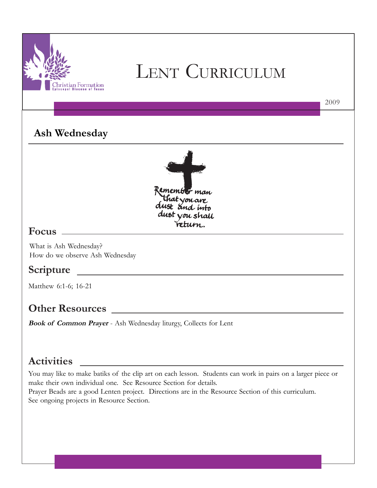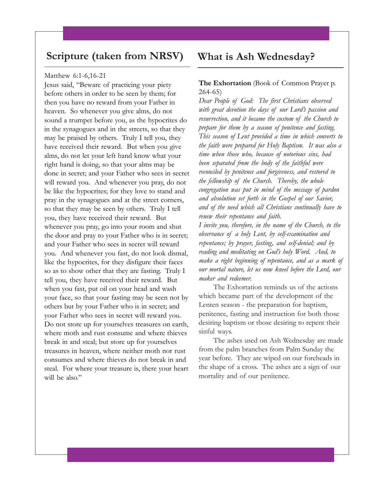#### Matthew 6:1-6,16-21

Jesus said, "Beware of practicing your piety before others in order to be seen by them; for then you have no reward from your Father in heaven. So whenever you give alms, do not sound a trumpet before you, as the hypocrites do in the synagogues and in the streets, so that they may be praised by others. Truly I tell you, they have received their reward. But when you give alms, do not let your left hand know what your right hand is doing, so that your alms may be done in secret; and your Father who sees in secret will reward you. And whenever you pray, do not be like the hypocrites; for they love to stand and pray in the synagogues and at the street corners, so that they may be seen by others. Truly I tell you, they have received their reward. But whenever you pray, go into your room and shut the door and pray to your Father who is in secret; and your Father who sees in secret will reward you. And whenever you fast, do not look dismal, like the hypocrites, for they disfigure their faces so as to show other that they are fasting. Truly I tell you, they have received their reward. But when you fast, put oil on your head and wash your face, so that your fasting may be seen not by others but by your Father who is in secret; and your Father who sees in secret will reward you. Do not store up for yourselves treasures on earth, where moth and rust consume and where thieves break in and steal; but store up for yourselves treasures in heaven, where neither moth nor rust consumes and where thieves do not break in and steal. For where your treasure is, there your heart will be also."

#### **What is Ash Wednesday?**

#### **The Exhortation** (Book of Common Prayer p. 264-65)

*Dear People of God: The first Christians observed with great devotion the days of our Lord's passion and resurrection, and it became the custom of the Church to prepare for them by a season of penitence and fasting. This season of Lent provided a time in which converts to the faith were prepared for Holy Baptism. It was also a time when those who, because of notorious sins, had been separated from the body of the faithful were reconciled by penitence and forgiveness, and restored to the fellowship of the Church. Thereby, the whole congregation was put in mind of the message of pardon and absolution set forth in the Gospel of our Savior, and of the need which all Christians continually have to renew their repentance and faith.*

*I invite you, therefore, in the name of the Church, to the observance of a holy Lent, by self-examination and repentance; by prayer, fasting, and self-denial; and by reading and meditating on God's holy Word. And, to make a right beginning of repentance, and as a mark of our mortal nature, let us now kneel before the Lord, our maker and redeemer.*

The Exhortation reminds us of the actions which became part of the development of the Lenten season - the preparation for baptism, penitence, fasting and instruction for both those desiring baptism or those desiring to repent their sinful ways.

The ashes used on Ash Wednesday are made from the palm branches from Palm Sunday the year before. They are wiped on our foreheads in the shape of a cross. The ashes are a sign of our mortality and of our penitence.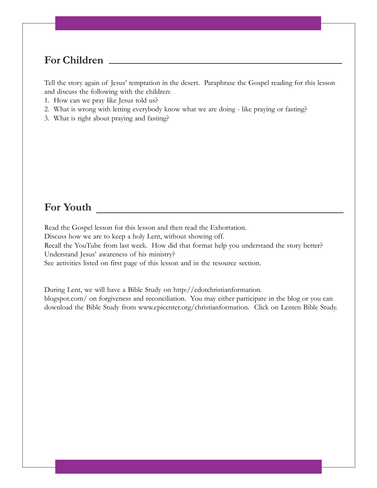Tell the story again of Jesus' temptation in the desert. Paraphrase the Gospel reading for this lesson and discuss the following with the children:

- 1. How can we pray like Jesus told us?
- 2. What is wrong with letting everybody know what we are doing like praying or fasting?
- 3. What is right about praying and fasting?

#### **For Youth**

Read the Gospel lesson for this lesson and then read the Exhortation.

Discuss how we are to keep a holy Lent, without showing off.

Recall the YouTube from last week. How did that format help you understand the story better? Understand Jesus' awareness of his ministry?

See activities listed on first page of this lesson and in the resource section.

During Lent, we will have a Bible Study on http://edotchristianformation. blogspot.com/ on forgiveness and reconciliation. You may either participate in the blog or you can download the Bible Study from www.epicenter.org/christianformation. Click on Lenten Bible Study.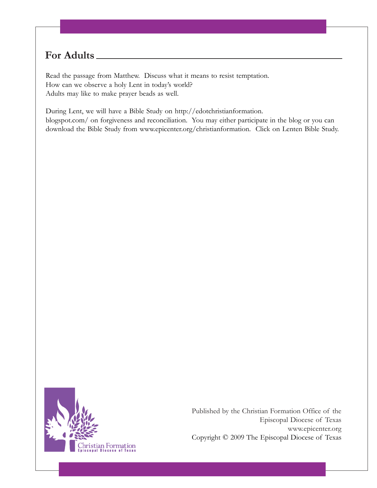Read the passage from Matthew. Discuss what it means to resist temptation. How can we observe a holy Lent in today's world? Adults may like to make prayer beads as well.

During Lent, we will have a Bible Study on http://edotchristianformation. blogspot.com/ on forgiveness and reconciliation. You may either participate in the blog or you can download the Bible Study from www.epicenter.org/christianformation. Click on Lenten Bible Study.

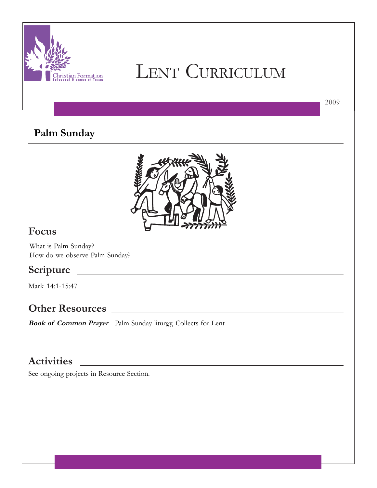

# LENT CURRICULUM

2009

### **Palm Sunday**



#### **Focus**

What is Palm Sunday? How do we observe Palm Sunday?

#### Scripture <u>and a series of the series of the series of the series of the series of the series of the series of the series of the series of the series of the series of the series of the series of the series of the series of</u>

Mark 14:1-15:47

#### **Other Resources**

**Book of Common Prayer** - Palm Sunday liturgy, Collects for Lent

#### **Activities**

See ongoing projects in Resource Section.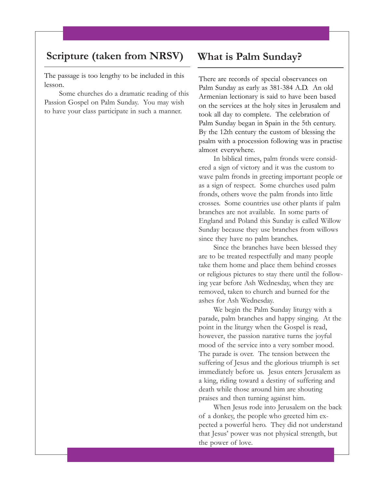The passage is too lengthy to be included in this lesson.

Some churches do a dramatic reading of this Passion Gospel on Palm Sunday. You may wish to have your class participate in such a manner.

#### **What is Palm Sunday?**

There are records of special observances on Palm Sunday as early as 381-384 A.D. An old Armenian lectionary is said to have been based on the services at the holy sites in Jerusalem and took all day to complete. The celebration of Palm Sunday began in Spain in the 5th century. By the 12th century the custom of blessing the psalm with a procession following was in practise almost everywhere.

In biblical times, palm fronds were considered a sign of victory and it was the custom to wave palm fronds in greeting important people or as a sign of respect. Some churches used palm fronds, others wove the palm fronds into little crosses. Some countries use other plants if palm branches are not available. In some parts of England and Poland this Sunday is called Willow Sunday because they use branches from willows since they have no palm branches.

Since the branches have been blessed they are to be treated respectfully and many people take them home and place them behind crosses or religious pictures to stay there until the following year before Ash Wednesday, when they are removed, taken to church and burned for the ashes for Ash Wednesday.

We begin the Palm Sunday liturgy with a parade, palm branches and happy singing. At the point in the liturgy when the Gospel is read, however, the passion narative turns the joyful mood of the service into a very somber mood. The parade is over. The tension between the suffering of Jesus and the glorious triumph is set immediately before us. Jesus enters Jerusalem as a king, riding toward a destiny of suffering and death while those around him are shouting praises and then turning against him.

When Jesus rode into Jerusalem on the back of a donkey, the people who greeted him expected a powerful hero. They did not understand that Jesus' power was not physical strength, but the power of love.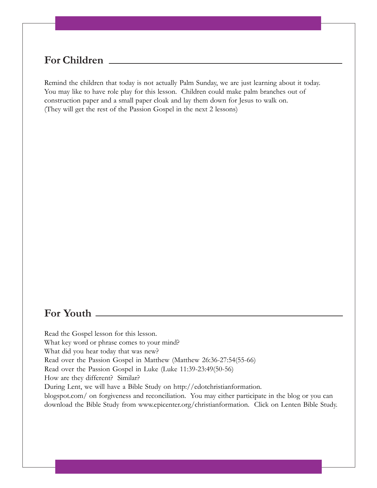Remind the children that today is not actually Palm Sunday, we are just learning about it today. You may like to have role play for this lesson. Children could make palm branches out of construction paper and a small paper cloak and lay them down for Jesus to walk on. (They will get the rest of the Passion Gospel in the next 2 lessons)

#### **For Youth**

Read the Gospel lesson for this lesson. What key word or phrase comes to your mind? What did you hear today that was new? Read over the Passion Gospel in Matthew (Matthew 26:36-27:54(55-66) Read over the Passion Gospel in Luke (Luke 11:39-23:49(50-56) How are they different? Similar? During Lent, we will have a Bible Study on http://edotchristianformation. blogspot.com/ on forgiveness and reconciliation. You may either participate in the blog or you can download the Bible Study from www.epicenter.org/christianformation. Click on Lenten Bible Study.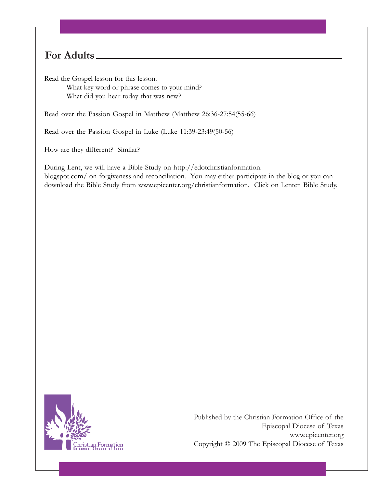Read the Gospel lesson for this lesson. What key word or phrase comes to your mind? What did you hear today that was new?

Read over the Passion Gospel in Matthew (Matthew 26:36-27:54(55-66)

Read over the Passion Gospel in Luke (Luke 11:39-23:49(50-56)

How are they different? Similar?

During Lent, we will have a Bible Study on http://edotchristianformation. blogspot.com/ on forgiveness and reconciliation. You may either participate in the blog or you can download the Bible Study from www.epicenter.org/christianformation. Click on Lenten Bible Study.

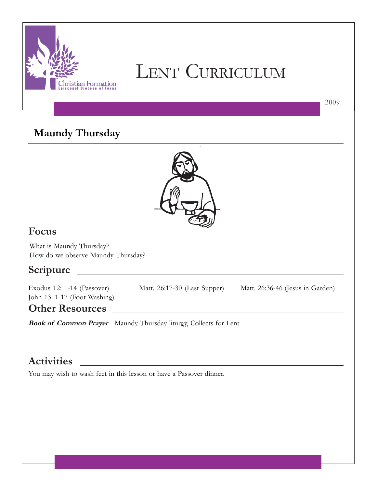

# LENT CURRICULUM

2009

#### **Maundy Thursday**



#### **Focus**

What is Maundy Thursday? How do we observe Maundy Thursday?

#### Scripture <u>and a series of the series of the series of the series of the series of the series of the series of the series of the series of the series of the series of the series of the series of the series of the series of</u>

John 13: 1-17 (Foot Washing)

Exodus 12: 1-14 (Passover) Matt. 26:17-30 (Last Supper) Matt. 26:36-46 (Jesus in Garden)

#### **Other Resources**

**Book of Common Prayer** - Maundy Thursday liturgy, Collects for Lent

#### **Activities**

You may wish to wash feet in this lesson or have a Passover dinner.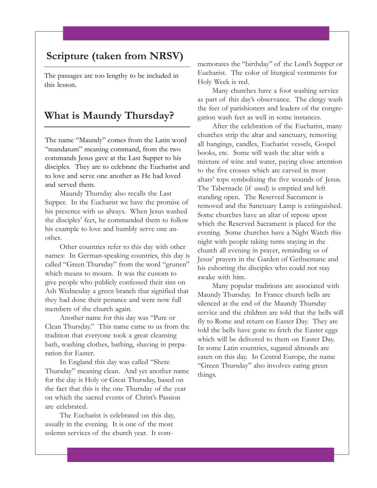The passages are too lengthy to be included in this lesson.

#### **What is Maundy Thursday?**

The name "Maundy" comes from the Latin word "mandatum" meaning command, from the two commands Jesus gave at the Last Supper to his disciples. They are to celebrate the Eucharist and to love and serve one another as He had loved and served them.

Maundy Thursday also recalls the Last Supper. In the Eucharist we have the promise of his presence with us always. When Jesus washed the disciples' feet, he commanded them to follow his example to love and humbly serve one another.

Other countries refer to this day with other names: In German-speaking countries, this day is called "Green Thursday" from the word "grunen" which means to mourn. It was the custom to give people who publicly confessed their sins on Ash Wednesday a green branch that signified that they had done their penance and were now full members of the church again.

Another name for this day was "Pure or Clean Thursday." This name came to us from the tradition that everyone took a great cleansing bath, washing clothes, bathing, shaving in preparation for Easter.

In England this day was called "Shere Thursday" meaning clean. And yet another name for the day is Holy or Great Thursday, based on the fact that this is the one Thursday of the year on which the sacred events of Christ's Passion are celebrated.

The Eucharist is celebrated on this day, usually in the evening. It is one of the most solemn services of the church year. It com-

memorates the "birthday" of the Lord's Supper or Eucharist. The color of liturgical vestments for Holy Week is red.

Many churches have a foot washing service as part of this day's observance. The clergy wash the feet of parishioners and leaders of the congregation wash feet as well in some instances.

After the celebration of the Eucharist, many churches strip the altar and sanctuary, removing all hangings, candles, Eucharist vessels, Gospel books, etc. Some will wash the altar with a mixture of wine and water, paying close attention to the five crosses which are carved in most altars' tops symbolizing the five wounds of Jesus. The Tabernacle (if used) is emptied and left standing open. The Reserved Sacrament is removed and the Sanctuary Lamp is extinguished. Some churches have an altar of repose upon which the Reserved Sacrament is placed for the evening. Some churches have a Night Watch this night with people taking turns staying in the church all evening in prayer, reminding us of Jesus' prayers in the Garden of Gethsemane and his exhorting the disciples who could not stay awake with him.

Many popular traditions are associated with Maundy Thursday. In France church bells are silenced at the end of the Maundy Thursday service and the children are told that the bells will fly to Rome and return on Easter Day. They are told the bells have gone to fetch the Easter eggs which will be delivered to them on Easter Day. In some Latin countries, sugared almonds are eaten on this day. In Central Europe, the name "Green Thursday" also involves eating green things.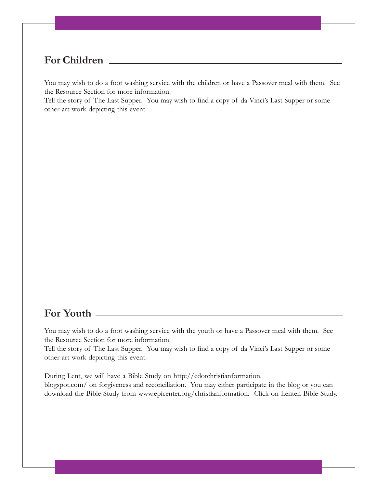You may wish to do a foot washing service with the children or have a Passover meal with them. See the Resource Section for more information.

Tell the story of The Last Supper. You may wish to find a copy of da Vinci's Last Supper or some other art work depicting this event.

#### **For Youth**

You may wish to do a foot washing service with the youth or have a Passover meal with them. See the Resource Section for more information.

Tell the story of The Last Supper. You may wish to find a copy of da Vinci's Last Supper or some other art work depicting this event.

During Lent, we will have a Bible Study on http://edotchristianformation.

blogspot.com/ on forgiveness and reconciliation. You may either participate in the blog or you can download the Bible Study from www.epicenter.org/christianformation. Click on Lenten Bible Study.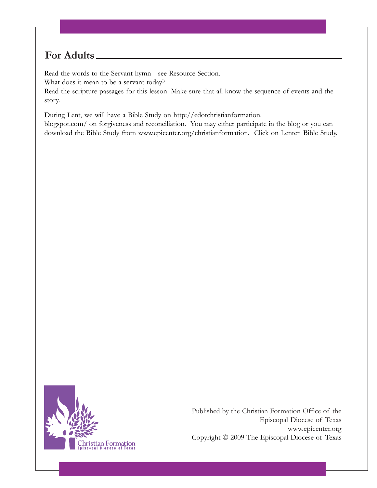Read the words to the Servant hymn - see Resource Section.

What does it mean to be a servant today?

Read the scripture passages for this lesson. Make sure that all know the sequence of events and the story.

During Lent, we will have a Bible Study on http://edotchristianformation.

blogspot.com/ on forgiveness and reconciliation. You may either participate in the blog or you can download the Bible Study from www.epicenter.org/christianformation. Click on Lenten Bible Study.

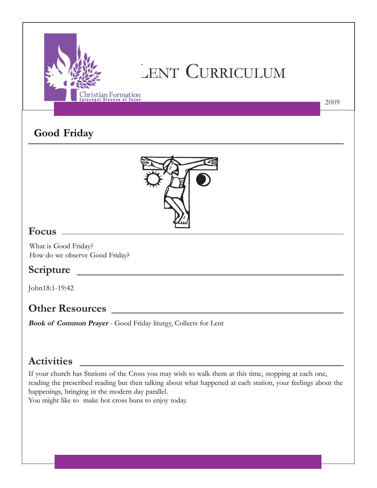

## LENT CURRICULUM

2009

### **Good Friday**



#### **Focus**

What is Good Friday? How do we observe Good Friday?

#### **Scripture** and **Scripture** and **Scripture** and **Scripture** and **Scripture** and **Scripture** and **Scripture** and **Scripture** and **Scripture** and **Scripture** and **Scripture** and **Scripture** and **Scripture** and **Scripture** an

John18:1-19:42

#### **Other Resources**

**Book of Common Prayer** - Good Friday liturgy, Collects for Lent

#### **Activities**

If your church has Stations of the Cross you may wish to walk them at this time, stopping at each one, reading the prescribed reading but then talking about what happened at each station, your feelings about the happenings, bringing in the modern day parallel.

You might like to make hot cross buns to enjoy today.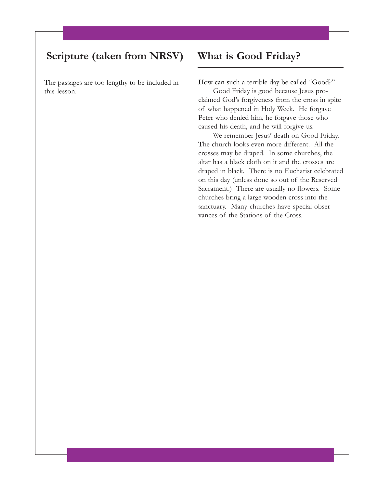The passages are too lengthy to be included in this lesson.

#### **What is Good Friday?**

How can such a terrible day be called "Good?"

Good Friday is good because Jesus proclaimed God's forgiveness from the cross in spite of what happened in Holy Week. He forgave Peter who denied him, he forgave those who caused his death, and he will forgive us.

We remember Jesus' death on Good Friday. The church looks even more different. All the crosses may be draped. In some churches, the altar has a black cloth on it and the crosses are draped in black. There is no Eucharist celebrated on this day (unless done so out of the Reserved Sacrament.) There are usually no flowers. Some churches bring a large wooden cross into the sanctuary. Many churches have special observances of the Stations of the Cross.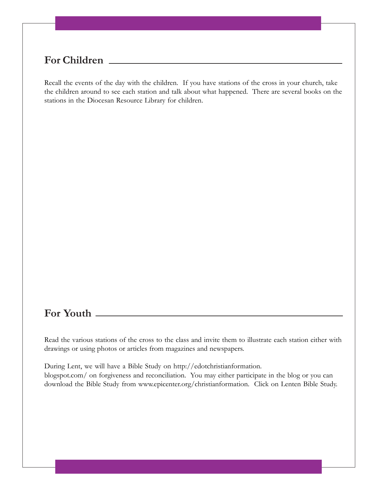Recall the events of the day with the children. If you have stations of the cross in your church, take the children around to see each station and talk about what happened. There are several books on the stations in the Diocesan Resource Library for children.

#### **For Youth**

Read the various stations of the cross to the class and invite them to illustrate each station either with drawings or using photos or articles from magazines and newspapers.

During Lent, we will have a Bible Study on http://edotchristianformation. blogspot.com/ on forgiveness and reconciliation. You may either participate in the blog or you can download the Bible Study from www.epicenter.org/christianformation. Click on Lenten Bible Study.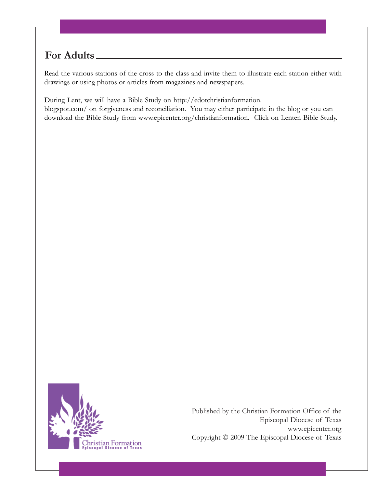Read the various stations of the cross to the class and invite them to illustrate each station either with drawings or using photos or articles from magazines and newspapers.

During Lent, we will have a Bible Study on http://edotchristianformation.

blogspot.com/ on forgiveness and reconciliation. You may either participate in the blog or you can download the Bible Study from www.epicenter.org/christianformation. Click on Lenten Bible Study.

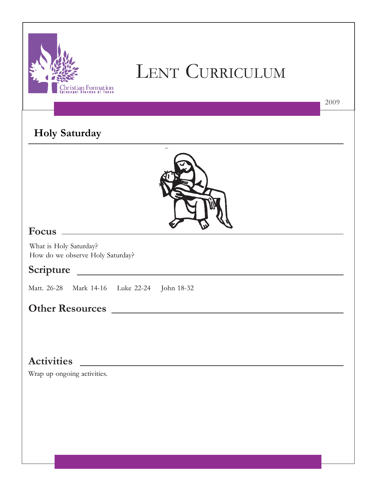

# LENT CURRICULUM

2009

### **Holy Saturday**



#### **Focus**

What is Holy Saturday? How do we observe Holy Saturday?

#### Scripture <u>and a series of the series of the series of the series of the series of the series of the series of the series of the series of the series of the series of the series of the series of the series of the series of</u>

Matt. 26-28 Mark 14-16 Luke 22-24 John 18-32

### **Other Resources**

#### **Activities**

Wrap up ongoing activities.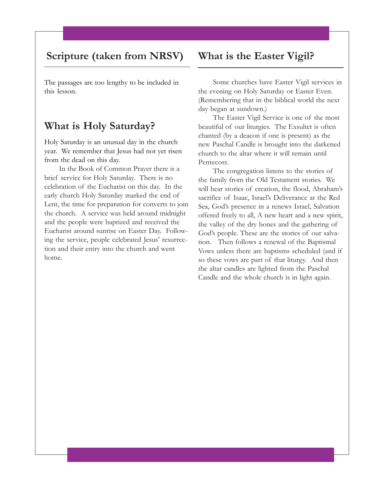#### **Scripture (taken from NRSV) What is the Easter Vigil?**

The passages are too lengthy to be included in this lesson.

#### **What is Holy Saturday?**

Holy Saturday is an unusual day in the church year. We remember that Jesus had not yet risen from the dead on this day.

In the Book of Common Prayer there is a brief service for Holy Saturday. There is no celebration of the Eucharist on this day. In the early church Holy Saturday marked the end of Lent, the time for preparation for converts to join the church. A service was held around midnight and the people were baptized and received the Eucharist around sunrise on Easter Day. Following the service, people celebrated Jesus' resurrection and their entry into the church and went home.

Some churches have Easter Vigil services in the evening on Holy Saturday or Easter Even. (Remembering that in the biblical world the next day began at sundown.)

The Easter Vigil Service is one of the most beautiful of our liturgies. The Exsultet is often chanted (by a deacon if one is present) as the new Paschal Candle is brought into the darkened church to the altar where it will remain until Pentecost.

The congregation listens to the stories of the family from the Old Testament stories. We will hear stories of creation, the flood, Abraham's sacrifice of Isaac, Israel's Deliverance at the Red Sea, God's presence in a renews Israel, Salvation offered freely to all, A new heart and a new spirit, the valley of the dry bones and the gathering of God's people. These are the stories of our salvation. Then follows a renewal of the Baptismal Vows unless there are baptisms scheduled (and if so these vows are part of that liturgy. And then the altar candles are lighted from the Paschal Candle and the whole church is in light again.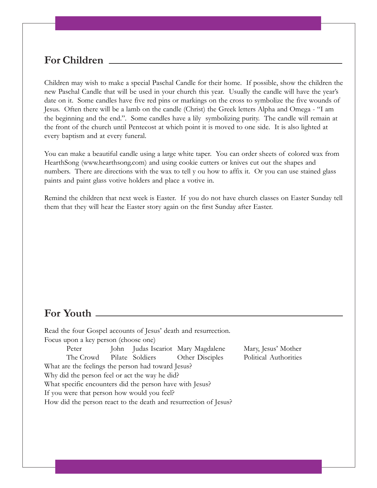Children may wish to make a special Paschal Candle for their home. If possible, show the children the new Paschal Candle that will be used in your church this year. Usually the candle will have the year's date on it. Some candles have five red pins or markings on the cross to symbolize the five wounds of Jesus. Often there will be a lamb on the candle (Christ) the Greek letters Alpha and Omega - "I am the beginning and the end.". Some candles have a lily symbolizing purity. The candle will remain at the front of the church until Pentecost at which point it is moved to one side. It is also lighted at every baptism and at every funeral.

You can make a beautiful candle using a large white taper. You can order sheets of colored wax from HearthSong (www.hearthsong.com) and using cookie cutters or knives cut out the shapes and numbers. There are directions with the wax to tell y ou how to affix it. Or you can use stained glass paints and paint glass votive holders and place a votive in.

Remind the children that next week is Easter. If you do not have church classes on Easter Sunday tell them that they will hear the Easter story again on the first Sunday after Easter.

#### **For Youth**

Read the four Gospel accounts of Jesus' death and resurrection. Focus upon a key person (choose one) Peter John Judas Iscariot Mary Magdalene Mary, Jesus' Mother The Crowd Pilate Soldiers Other Disciples Political Authorities What are the feelings the person had toward Jesus? Why did the person feel or act the way he did? What specific encounters did the person have with Jesus? If you were that person how would you feel? How did the person react to the death and resurrection of Jesus?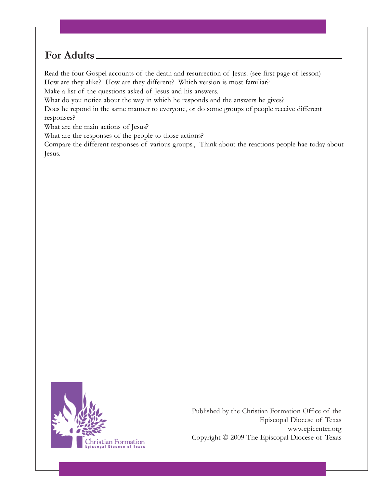Read the four Gospel accounts of the death and resurrection of Jesus. (see first page of lesson) How are they alike? How are they different? Which version is most familiar? Make a list of the questions asked of Jesus and his answers. What do you notice about the way in which he responds and the answers he gives? Does he repond in the same manner to everyone, or do some groups of people receive different responses? What are the main actions of Jesus? What are the responses of the people to those actions? Compare the different responses of various groups., Think about the reactions people hae today about Jesus.

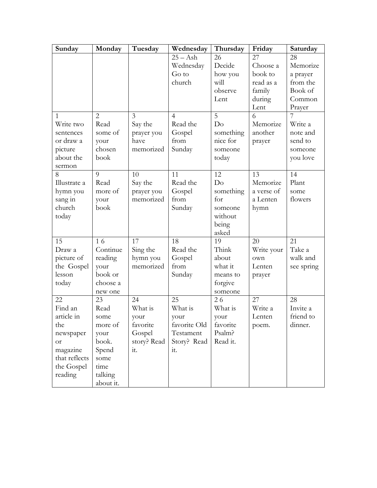| Sunday                                                                                                             | Monday                                                                                          | Tuesday                                                           | Wednesday                                                                | Thursday                                                             | Friday                                                                  | Saturday                                                                   |
|--------------------------------------------------------------------------------------------------------------------|-------------------------------------------------------------------------------------------------|-------------------------------------------------------------------|--------------------------------------------------------------------------|----------------------------------------------------------------------|-------------------------------------------------------------------------|----------------------------------------------------------------------------|
| $\mathbf{1}$                                                                                                       | $\overline{2}$                                                                                  | $\overline{3}$                                                    | $25 - Ash$<br>Wednesday<br>Go to<br>church<br>$\overline{4}$             | 26<br>Decide<br>how you<br>will<br>observe<br>Lent<br>5              | 27<br>Choose a<br>book to<br>read as a<br>family<br>during<br>Lent<br>6 | 28<br>Memorize<br>a prayer<br>from the<br>Book of<br>Common<br>Prayer<br>7 |
| Write two<br>sentences<br>or draw a<br>picture<br>about the<br>sermon                                              | Read<br>some of<br>your<br>chosen<br>book                                                       | Say the<br>prayer you<br>have<br>memorized                        | Read the<br>Gospel<br>from<br>Sunday                                     | Do<br>something<br>nice for<br>someone<br>today                      | Memorize<br>another<br>prayer                                           | Write a<br>note and<br>send to<br>someone<br>you love                      |
| 8<br>Illustrate a<br>hymn you<br>sang in<br>church<br>today                                                        | 9<br>Read<br>more of<br>your<br>book                                                            | 10<br>Say the<br>prayer you<br>memorized                          | 11<br>Read the<br>Gospel<br>from<br>Sunday                               | 12<br>Do<br>something<br>for<br>someone<br>without<br>being<br>asked | 13<br>Memorize<br>a verse of<br>a Lenten<br>hymn                        | 14<br>Plant<br>some<br>flowers                                             |
| 15<br>Draw a<br>picture of<br>the Gospel<br>lesson<br>today                                                        | 16<br>Continue<br>reading<br>your<br>book or<br>choose a<br>new one                             | 17<br>Sing the<br>hymn you<br>memorized                           | 18<br>Read the<br>Gospel<br>from<br>Sunday                               | 19<br>Think<br>about<br>what it<br>means to<br>forgive<br>someone    | 20<br>Write your<br>own<br>Lenten<br>prayer                             | 21<br>Take a<br>walk and<br>see spring                                     |
| 22<br>Find an<br>article in<br>the<br>newspaper<br><b>or</b><br>magazine<br>that reflects<br>the Gospel<br>reading | 23<br>Read<br>some<br>more of<br>your<br>book.<br>Spend<br>some<br>time<br>talking<br>about it. | 24<br>What is<br>your<br>favorite<br>Gospel<br>story? Read<br>it. | 25<br>What is<br>your<br>favorite Old<br>Testament<br>Story? Read<br>it. | 26<br>What is<br>your<br>favorite<br>Psalm?<br>Read it.              | 27<br>Write a<br>Lenten<br>poem.                                        | 28<br>Invite a<br>friend to<br>dinner.                                     |